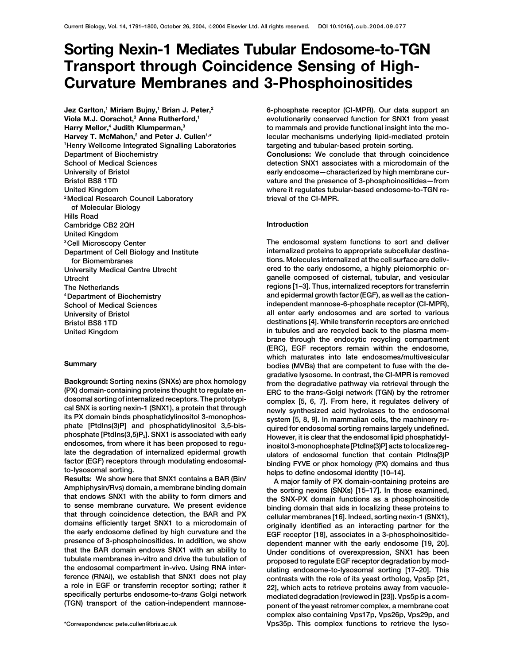# **Sorting Nexin-1 Mediates Tubular Endosome-to-TGN Transport through Coincidence Sensing of High-Curvature Membranes and 3-Phosphoinositides**

**Jez Carlton,1 Miriam Bujny,1 Brian J. Peter,2 Viola M.J. Oorschot,3 Anna Rutherford,1 Harry Mellor,4 Judith Klumperman,3** Harvey T. McMahon,<sup>2</sup> and Peter J. Cullen<sup>1,\*</sup> **1 Henry Wellcome Integrated Signalling Laboratories trieval of the CI-MPR. 2Medical Research Council Laboratory of Molecular Biology Hills Road Cambridge CB2 2QH Introduction United Kingdom**

**6-phosphate receptor (CI-MPR). Our data support an evolutionarily conserved function for SNX1 from yeast to mammals and provide functional insight into the molecular mechanisms underlying lipid-mediated protein targeting and tubular-based protein sorting.**

**Department of Biochemistry <b>Conclusions:** We conclude that through coincidence **School of Medical Sciences detection SNX1 associates with a microdomain of the** University of Bristol **Exercise 2008 early endosome—characterized by high membrane cur-Bristol BS8 1TD vature and the presence of 3-phosphoinositides—from United Kingdom where it regulates tubular-based endosome-to-TGN re-**

**The endosomal system functions to sort and deliver 3Cell Microscopy Center Department of Cell Biology and Institute internalized proteins to appropriate subcellular destinafor Biomembranes tions. Molecules internalized at the cell surface are deliv-University Medical Centre Utrecht ered to the early endosome, a highly pleiomorphic or-Utrecht ganelle composed of cisternal, tubular, and vesicular The Netherlands regions [1–3]. Thus, internalized receptors for transferrin 4Department of Biochemistry and epidermal growth factor (EGF), as well as the cation-School of Medical Sciences independent mannose-6-phosphate receptor (CI-MPR), University of Bristol all enter early endosomes and are sorted to various Bristol BS8 1TD destinations [4]. While transferrin receptors are enriched United Kingdom in tubules and are recycled back to the plasma membrane through the endocytic recycling compartment (ERC), EGF receptors remain within the endosome, which maturates into late endosomes/multivesicular Summary bodies (MVBs) that are competent to fuse with the de-**

Background: Sorting nexins (SNXs) are phox homology<br>  $\gamma$  from the degradative pesomes in contrast, the CI-MPR is removed<br>
(PX) domain-containing profeines frought to regulate on-<br>
ERC to the frams-Gologi network (TGN) by **complex also containing Vps17p, Vps26p, Vps29p, and \*Correspondence: pete.cullen@bris.ac.uk Vps35p. This complex functions to retrieve the lyso-**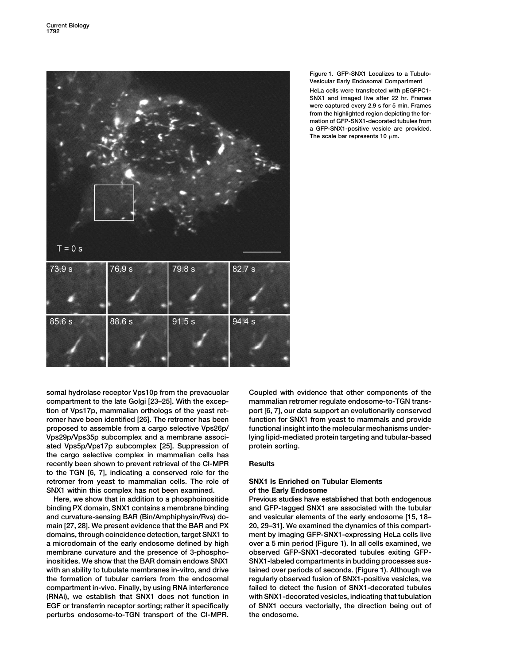

## **Figure 1. GFP-SNX1 Localizes to a Tubulo-Vesicular Early Endosomal Compartment**

**HeLa cells were transfected with pEGFPC1- SNX1 and imaged live after 22 hr. Frames were captured every 2.9 s for 5 min. Frames from the highlighted region depicting the formation of GFP-SNX1-decorated tubules from a GFP-SNX1-positive vesicle are provided.** The scale bar represents 10  $\mu$ m.

**somal hydrolase receptor Vps10p from the prevacuolar Coupled with evidence that other components of the compartment to the late Golgi [23–25]. With the excep- mammalian retromer regulate endosome-to-TGN transtion of Vps17p, mammalian orthologs of the yeast ret- port [6, 7], our data support an evolutionarily conserved romer have been identified [26]. The retromer has been function for SNX1 from yeast to mammals and provide proposed to assemble from a cargo selective Vps26p/ functional insight into the molecular mechanisms under-Vps29p/Vps35p subcomplex and a membrane associ- lying lipid-mediated protein targeting and tubular-based ated Vps5p/Vps17p subcomplex [25]. Suppression of protein sorting. the cargo selective complex in mammalian cells has recently been shown to prevent retrieval of the CI-MPR Results to the TGN [6, 7], indicating a conserved role for the retromer from yeast to mammalian cells. The role of SNX1 Is Enriched on Tubular Elements SNX1 within this complex has not been examined. of the Early Endosome**

**binding PX domain, SNX1 contains a membrane binding and GFP-tagged SNX1 are associated with the tubular and curvature-sensing BAR (Bin/Amphiphysin/Rvs) do- and vesicular elements of the early endosome [15, 18– main [27, 28]. We present evidence that the BAR and PX 20, 29–31]. We examined the dynamics of this compartdomains, through coincidence detection, target SNX1 to ment by imaging GFP-SNX1-expressing HeLa cells live a microdomain of the early endosome defined by high over a 5 min period (Figure 1). In all cells examined, we membrane curvature and the presence of 3-phospho- observed GFP-SNX1-decorated tubules exiting GFPinositides. We show that the BAR domain endows SNX1 SNX1-labeled compartments in budding processes sus**with an ability to tubulate membranes in-vitro, and drive tained over periods of seconds. (Figure 1). Although we **the formation of tubular carriers from the endosomal regularly observed fusion of SNX1-positive vesicles, we compartment in-vivo. Finally, by using RNA interference failed to detect the fusion of SNX1-decorated tubules (RNAi), we establish that SNX1 does not function in with SNX1-decorated vesicles, indicating that tubulation EGF or transferrin receptor sorting; rather it specifically of SNX1 occurs vectorially, the direction being out of perturbs endosome-to-TGN transport of the CI-MPR. the endosome.**

**Here, we show that in addition to a phosphoinositide Previous studies have established that both endogenous**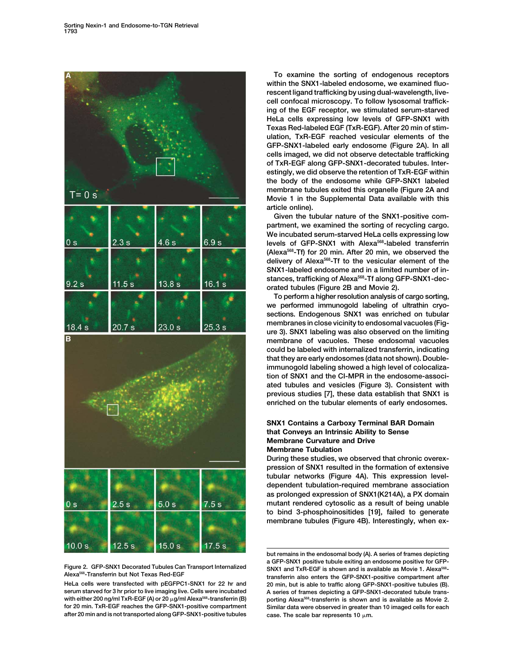

**serum starved for 3 hr prior to live imaging live. Cells were incubated A series of frames depicting a GFP-SNX1-decorated tubule trans**with either 200 ng/ml TxR-EGF (A) or 20 μg/ml Alexa<sup>568</sup>-transferrin (B) porting Alexa<sup>568</sup>-transferrin is shown and is available as Movie 2.<br>for 20 min. TxR-EGF reaches the GFP-SNX1-positive compartment Similar data were **after 20 min and is not transported along GFP-SNX1-positive tubules** case. The scale bar represents 10  $\mu$ m.

**To examine the sorting of endogenous receptors within the SNX1-labeled endosome, we examined fluorescent ligand trafficking by using dual-wavelength, livecell confocal microscopy. To follow lysosomal trafficking of the EGF receptor, we stimulated serum-starved HeLa cells expressing low levels of GFP-SNX1 with Texas Red-labeled EGF (TxR-EGF). After 20 min of stimulation, TxR-EGF reached vesicular elements of the GFP-SNX1-labeled early endosome (Figure 2A). In all cells imaged, we did not observe detectable trafficking of TxR-EGF along GFP-SNX1-decorated tubules. Interestingly, we did observe the retention of TxR-EGF within the body of the endosome while GFP-SNX1 labeled membrane tubules exited this organelle (Figure 2A and Movie 1 in the Supplemental Data available with this article online).**

**Given the tubular nature of the SNX1-positive compartment, we examined the sorting of recycling cargo. We incubated serum-starved HeLa cells expressing low** levels of GFP-SNX1 with Alexa<sup>568</sup>-labeled transferrin **(Alexa568-Tf) for 20 min. After 20 min, we observed the delivery of Alexa568-Tf to the vesicular element of the SNX1-labeled endosome and in a limited number of in**stances, trafficking of Alexa<sup>568</sup>-Tf along GFP-SNX1-dec**orated tubules (Figure 2B and Movie 2).**

**To perform a higher resolution analysis of cargo sorting, we performed immunogold labeling of ultrathin cryosections. Endogenous SNX1 was enriched on tubular membranes in close vicinity to endosomal vacuoles (Figure 3). SNX1 labeling was also observed on the limiting membrane of vacuoles. These endosomal vacuoles could be labeled with internalized transferrin, indicating that they are early endosomes (data not shown). Doubleimmunogold labeling showed a high level of colocalization of SNX1 and the CI-MPR in the endosome-associated tubules and vesicles (Figure 3). Consistent with previous studies [7], these data establish that SNX1 is enriched on the tubular elements of early endosomes.**

## **SNX1 Contains a Carboxy Terminal BAR Domain that Conveys an Intrinsic Ability to Sense Membrane Curvature and Drive Membrane Tubulation**

**During these studies, we observed that chronic overexpression of SNX1 resulted in the formation of extensive tubular networks (Figure 4A). This expression leveldependent tubulation-required membrane association as prolonged expression of SNX1(K214A), a PX domain mutant rendered cytosolic as a result of being unable to bind 3-phosphoinositides [19], failed to generate membrane tubules (Figure 4B). Interestingly, when ex-**

**but remains in the endosomal body (A). A series of frames depicting** Figure 2. GFP-SNX1 Decorated Tubules Can Transport Internalized<br>Alexa<sup>568</sup>-Transferrin but Not Texas Red-EGF<br>HeLa cells were transfected with pEGFPC1-SNX1 for 22 hr and 20 min, but is able to traffic along GFP-SNX1-positiv **HeLa cells were transfected with pEGFPC1-SNX1 for 22 hr and 20 min, but is able to traffic along GFP-SNX1-positive tubules (B).** Similar data were observed in greater than 10 imaged cells for each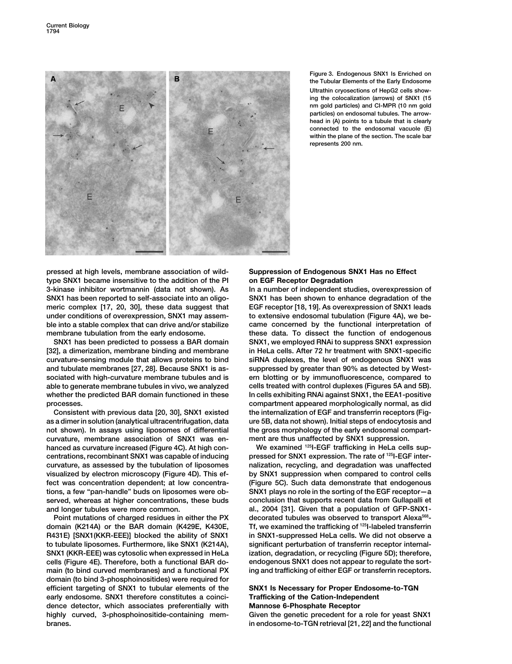

**Figure 3. Endogenous SNX1 Is Enriched on the Tubular Elements of the Early Endosome Ultrathin cryosections of HepG2 cells showing the colocalization (arrows) of SNX1 (15 nm gold particles) and CI-MPR (10 nm gold particles) on endosomal tubules. The arrowhead in (A) points to a tubule that is clearly connected to the endosomal vacuole (E) within the plane of the section. The scale bar represents 200 nm.**

**pressed at high levels, membrane association of wild- Suppression of Endogenous SNX1 Has no Effect type SNX1 became insensitive to the addition of the PI on EGF Receptor Degradation 3-kinase inhibitor wortmannin (data not shown). As In a number of independent studies, overexpression of SNX1 has been reported to self-associate into an oligo- SNX1 has been shown to enhance degradation of the meric complex [17, 20, 30], these data suggest that EGF receptor [18, 19]. As overexpression of SNX1 leads under conditions of overexpression, SNX1 may assem- to extensive endosomal tubulation (Figure 4A), we beble into a stable complex that can drive and/or stabilize came concerned by the functional interpretation of membrane tubulation from the early endosome. these data. To dissect the function of endogenous**

**[32], a dimerization, membrane binding and membrane in HeLa cells. After 72 hr treatment with SNX1-specific curvature-sensing module that allows proteins to bind siRNA duplexes, the level of endogenous SNX1 was and tubulate membranes [27, 28]. Because SNX1 is as- suppressed by greater than 90% as detected by Westsociated with high-curvature membrane tubules and is ern blotting or by immunofluorescence, compared to able to generate membrane tubules in vivo, we analyzed cells treated with control duplexes (Figures 5A and 5B). whether the predicted BAR domain functioned in these In cells exhibiting RNAi against SNX1, the EEA1-positive**

**as a dimer in solution (analytical ultracentrifugation, data ure 5B, data not shown). Initial steps of endocytosis and not shown). In assays using liposomes of differential the gross morphology of the early endosomal compartcurvature, membrane association of SNX1 was en- ment are thus unaffected by SNX1 suppression.** hanced as curvature increased (Figure 4C). At high con-<br>
We examined <sup>125</sup>|-EGF trafficking in HeLa cells sup**pressed for SNX1 expression. The rate of <sup>125</sup> centrations, recombinant SNX1 was capable of inducing I-EGF intercurvature, as assessed by the tubulation of liposomes nalization, recycling, and degradation was unaffected visualized by electron microscopy (Figure 4D). This ef- by SNX1 suppression when compared to control cells fect was concentration dependent; at low concentra- (Figure 5C). Such data demonstrate that endogenous tions, a few "pan-handle" buds on liposomes were ob- SNX1 plays no role in the sorting of the EGF receptor—a served, whereas at higher concentrations, these buds conclusion that supports recent data from Gullapalli et and longer tubules were more common. al., 2004 [31]. Given that a population of GFP-SNX1-**

**Tf, we examined the trafficking of <sup>125</sup> domain (K214A) or the BAR domain (K429E, K430E, I-labeled transferrin R431E) [SNX1(KKR-EEE)] blocked the ability of SNX1 in SNX1-suppressed HeLa cells. We did not observe a to tubulate liposomes. Furthermore, like SNX1 (K214A), significant perturbation of transferrin receptor internal-SNX1 (KKR-EEE) was cytosolic when expressed in HeLa ization, degradation, or recycling (Figure 5D); therefore, cells (Figure 4E). Therefore, both a functional BAR do- endogenous SNX1 does not appear to regulate the sortmain (to bind curved membranes) and a functional PX ing and trafficking of either EGF or transferrin receptors. domain (to bind 3-phosphoinositides) were required for efficient targeting of SNX1 to tubular elements of the SNX1 Is Necessary for Proper Endosome-to-TGN early endosome. SNX1 therefore constitutes a coinci- Trafficking of the Cation-Independent dence detector, which associates preferentially with Mannose 6-Phosphate Receptor highly curved, 3-phosphoinositide-containing mem- Given the genetic precedent for a role for yeast SNX1 branes. in endosome-to-TGN retrieval [21, 22] and the functional**

**SNX1 has been predicted to possess a BAR domain SNX1, we employed RNAi to suppress SNX1 expression processes. compartment appeared morphologically normal, as did Consistent with previous data [20, 30], SNX1 existed the internalization of EGF and transferrin receptors (Fig-**

Point mutations of charged residues in either the PX decorated tubules was observed to transport Alexa<sup>568</sup>-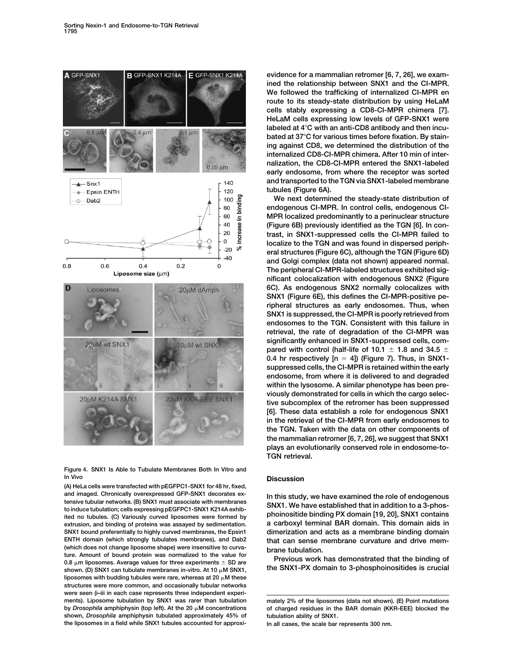

**Figure 4. SNX1 Is Able to Tubulate Membranes Both In Vitro and In Vivo Discussion**

**(A) HeLa cells were transfected with pEGFPC1-SNX1 for 48 hr, fixed,** and imaged. Chronically overexpressed GFP-SNX1 decorates ex-<br>tensive tubular networks. (B) SNX1 must associate with membranes<br>to induce tubulation; cells expressing pEGFPC1-SNX1 K214A exhib-<br>ited no tubules. (C) Variously **extrusion, and binding of proteins was assayed by sedimentation. a carboxyl terminal BAR domain. This domain aids in SNX1 bound preferentially to highly curved membranes, the Epsin1 dimerization and acts as a membrane binding domain (which does not change liposome shape) were insensitive to curva- brane tubulation.** ture. Amount of bound protein was normalized to the value of **Provious work has demonstrated that the binding of**<br>
0.8  $\mu$ m liposomes. Average values for three experiments  $\pm$  SD are<br>
shown (D) SNX1 can tubulate membrane shown. (D) SNX1 can tubulate membranes in-vitro. At 10  $\mu$ M SNX1, liposomes with budding tubules were rare, whereas at  $20 \mu M$  these **structures were more common, and occasionally tubular networks were seen (i–iii in each case represents three independent experiments). Liposome tubulation by SNX1 was rarer than tubulation mately 2% of the liposomes (data not shown). (E) Point mutations** shown, *Drosophila* amphiphysin tubulated approximately 45% of **the liposomes in a field while SNX1 tubules accounted for approxi- In all cases, the scale bar represents 300 nm.**

**evidence for a mammalian retromer [6, 7, 26], we examined the relationship between SNX1 and the CI-MPR. We followed the trafficking of internalized CI-MPR en route to its steady-state distribution by using HeLaM cells stably expressing a CD8-CI-MPR chimera [7]. HeLaM cells expressing low levels of GFP-SNX1 were labeled at 4**-**C with an anti-CD8 antibody and then incubated at 37**-**C for various times before fixation. By staining against CD8, we determined the distribution of the internalized CD8-CI-MPR chimera. After 10 min of internalization, the CD8-CI-MPR entered the SNX1-labeled early endosome, from where the receptor was sorted and transported to the TGN via SNX1-labeled membrane tubules (Figure 6A).**

**We next determined the steady-state distribution of endogenous CI-MPR. In control cells, endogenous CI-MPR localized predominantly to a perinuclear structure (Figure 6B) previously identified as the TGN [6]. In contrast, in SNX1-suppressed cells the CI-MPR failed to localize to the TGN and was found in dispersed peripheral structures (Figure 6C), although the TGN (Figure 6D) and Golgi complex (data not shown) appeared normal. The peripheral CI-MPR-labeled structures exhibited significant colocalization with endogenous SNX2 (Figure 6C). As endogenous SNX2 normally colocalizes with SNX1 (Figure 6E), this defines the CI-MPR-positive peripheral structures as early endosomes. Thus, when SNX1 is suppressed, the CI-MPR is poorly retrieved from endosomes to the TGN. Consistent with this failure in retrieval, the rate of degradation of the CI-MPR was significantly enhanced in SNX1-suppressed cells, com**pared with control (half-life of 10.1  $\pm$  1.8 and 34.5  $\pm$ **0.4 hr respectively [n 4]) (Figure 7). Thus, in SNX1 suppressed cells, the CI-MPR is retained within the early endosome, from where it is delivered to and degraded within the lysosome. A similar phenotype has been previously demonstrated for cells in which the cargo selective subcomplex of the retromer has been suppressed [6]. These data establish a role for endogenous SNX1 in the retrieval of the CI-MPR from early endosomes to the TGN. Taken with the data on other components of the mammalian retromer [6, 7, 26], we suggest that SNX1 plays an evolutionarily conserved role in endosome-to-TGN retrieval.**

**ENTH domain (which strongly tubulates membranes), and Dab2 that can sense membrane curvature and drive mem-**

of charged residues in the BAR domain (KKR-EEE) blocked the tubulation ability of SNX1.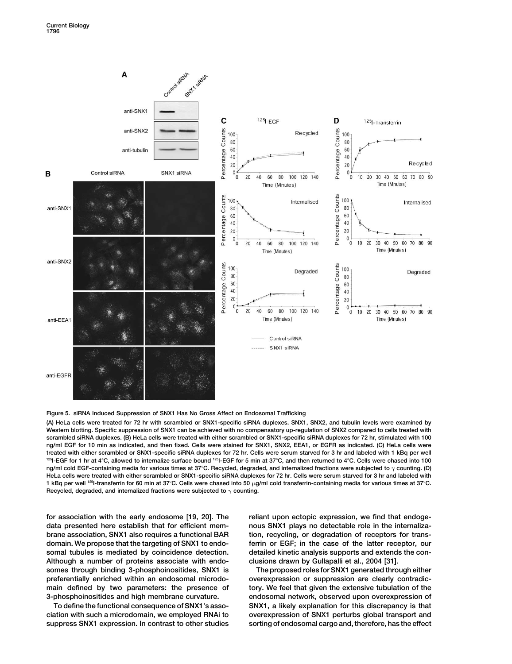

## **Figure 5. siRNA Induced Suppression of SNX1 Has No Gross Affect on Endosomal Trafficking**

**(A) HeLa cells were treated for 72 hr with scrambled or SNX1-specific siRNA duplexes. SNX1, SNX2, and tubulin levels were examined by Western blotting. Specific suppression of SNX1 can be achieved with no compensatory up-regulation of SNX2 compared to cells treated with scrambled siRNA duplexes. (B) HeLa cells were treated with either scrambled or SNX1-specific siRNA duplexes for 72 hr, stimulated with 100 ng/ml EGF for 10 min as indicated, and then fixed. Cells were stained for SNX1, SNX2, EEA1, or EGFR as indicated. (C) HeLa cells were treated with either scrambled or SNX1-specific siRNA duplexes for 72 hr. Cells were serum starved for 3 hr and labeled with 1 kBq per well 125I-EGF for 1 hr at 4**-**C, allowed to internalize surface bound 125I-EGF for 5 min at 37**-**C, and then returned to 4**-**C. Cells were chased into 100** ng/ml cold EGF-containing media for various times at 37°C. Recycled, degraded, and internalized fractions were subjected to  $\gamma$  counting. (D) **HeLa cells were treated with either scrambled or SNX1-specific siRNA duplexes for 72 hr. Cells were serum starved for 3 hr and labeled with 1** kBq per well <sup>125</sup>I-transferrin for 60 min at 37°C. Cells were chased into 50 μg/ml cold transferrin-containing media for various times at 37°C. Recycled, degraded, and internalized fractions were subjected to  $\gamma$  counting.

**for association with the early endosome [19, 20]. The reliant upon ectopic expression, we find that endogedata presented here establish that for efficient mem- nous SNX1 plays no detectable role in the internalizabrane association, SNX1 also requires a functional BAR tion, recycling, or degradation of receptors for transdomain. We propose that the targeting of SNX1 to endo- ferrin or EGF; in the case of the latter receptor, our somal tubules is mediated by coincidence detection. detailed kinetic analysis supports and extends the con-Although a number of proteins associate with endo- clusions drawn by Gullapalli et al., 2004 [31].** somes through binding 3-phosphoinositides, SNX1 is The proposed roles for SNX1 generated through either **preferentially enriched within an endosomal microdo- overexpression or suppression are clearly contradic**main defined by two parameters: the presence of tory. We feel that given the extensive tubulation of the **3-phosphoinositides and high membrane curvature. endosomal network, observed upon overexpression of**

**To define the functional consequence of SNX1's asso- SNX1, a likely explanation for this discrepancy is that ciation with such a microdomain, we employed RNAi to overexpression of SNX1 perturbs global transport and suppress SNX1 expression. In contrast to other studies sorting of endosomal cargo and, therefore, has the effect**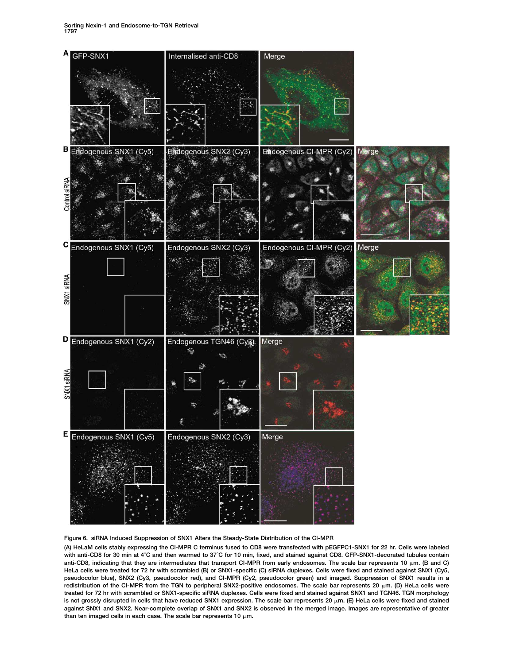

## **Figure 6. siRNA Induced Suppression of SNX1 Alters the Steady-State Distribution of the CI-MPR**

**(A) HeLaM cells stably expressing the CI-MPR C terminus fused to CD8 were transfected with pEGFPC1-SNX1 for 22 hr. Cells were labeled** with anti-CD8 for 30 min at 4°C and then warmed to 37°C for 10 min, fixed, and stained against CD8. GFP-SNX1-decorated tubules contain anti-CD8, indicating that they are intermediates that transport CI-MPR from early endosomes. The scale bar represents 10  $\mu$ m. (B and C) **HeLa cells were treated for 72 hr with scrambled (B) or SNX1-specific (C) siRNA duplexes. Cells were fixed and stained against SNX1 (Cy5, pseudocolor blue), SNX2 (Cy3, pseudocolor red), and CI-MPR (Cy2, pseudocolor green) and imaged. Suppression of SNX1 results in a redistribution of the CI-MPR from the TGN to peripheral SNX2-positive endosomes. The scale bar represents 20 m. (D) HeLa cells were treated for 72 hr with scrambled or SNX1-specific siRNA duplexes. Cells were fixed and stained against SNX1 and TGN46. TGN morphology is not grossly disrupted in cells that have reduced SNX1 expression. The scale bar represents 20 m. (E) HeLa cells were fixed and stained against SNX1 and SNX2. Near-complete overlap of SNX1 and SNX2 is observed in the merged image. Images are representative of greater** than ten imaged cells in each case. The scale bar represents  $10 \mu m$ .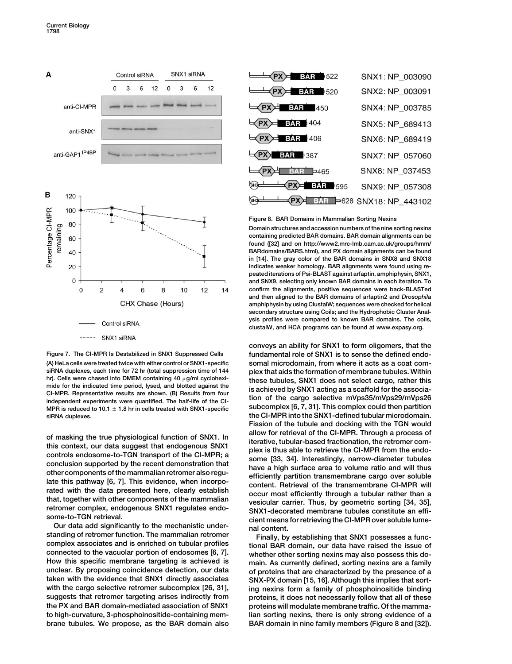

**(A) HeLa cells were treated twice with either control or SNX1-specific somal microdomain, from where it acts as a coat com-MPR is reduced to 10.1**  $\pm$  1.8 hr in cells treated with SNX1-specific **siRNA duplexes. the CI-MPR into the SNX1-defined tubular microdomain.**

standing of retromer function. The mammalian retromer<br>complex associates and is enriched on tubular profiles incomal BAR domain, our data have raised the issue of **connected to the vacuolar portion of endosomes [6, 7]. whether other sorting nexins may also possess this do-How this specific membrane targeting is achieved is main. As currently defined, sorting nexins are a family unclear. By proposing coincidence detection, our data of proteins that are characterized by the presence of a with the cargo selective retromer subcomplex [26, 31], ing nexins form a family of phosphoinositide binding suggests that retromer targeting arises indirectly from proteins, it does not necessarily follow that all of these the PX and BAR domain-mediated association of SNX1 proteins will modulate membrane traffic. Of the mammato high-curvature, 3-phosphoinositide-containing mem- lian sorting nexins, there is only strong evidence of a brane tubules. We propose, as the BAR domain also BAR domain in nine family members (Figure 8 and [32]).**

| <b>BAR</b> 1522<br>(PX)=                                   | SNX1: NP 003090                 |
|------------------------------------------------------------|---------------------------------|
| $PX = 3AR$ 520                                             | SNX2: NP_003091                 |
| $\rightarrow$ PX $\rightarrow$ BAR 450                     | SNX4: NP 003785                 |
| $\left\langle \text{PX} \right\rangle$ 34.3 404            | SNX5: NP_689413                 |
| $\leftarrow$ PX $\leftarrow$ BAR 406                       | SNX6: NP_689419                 |
| $\bigoplus$ PX $\bigoplus$ 387                             | SNX7: NP_057060                 |
| $\equiv$ PX $\equiv$ BAR = 465                             | SNX8: NP 037453                 |
| <b>BAR</b> 595<br>$\left\langle$ PX $\right\rangle$<br>SH3 | SNX9: NP_057308                 |
| SH3                                                        | $PX$ BAR = 628 SNX18: NP_443102 |

## **Figure 8. BAR Domains in Mammalian Sorting Nexins**

**Domain structures and accession numbers of the nine sorting nexins containing predicted BAR domains. BAR domain alignments can be found ([32] and on http://www2.mrc-lmb.cam.ac.uk/groups/hmm/ BARdomains/BARS.html), and PX domain alignments can be found in [14]. The gray color of the BAR domains in SNX8 and SNX18 indicates weaker homology. BAR alignments were found using repeated iterations of Psi-BLAST against arfaptin, amphiphysin, SNX1, and SNX9, selecting only known BAR domains in each iteration. To confirm the alignments, positive sequences were back-BLASTed and then aligned to the BAR domains of arfaptin2 and** *Drosophila* **amphiphysin by using ClustalW; sequences were checked for helical secondary structure using Coils; and the Hydrophobic Cluster Analysis profiles were compared to known BAR domains. The coils, clustalW, and HCA programs can be found at www.expasy.org.**

**conveys an ability for SNX1 to form oligomers, that the Figure 7. The CI-MPR Is Destabilized in SNX1 Suppressed Cells fundamental role of SNX1 is to sense the defined endo siRNA duplexes, each time for 72 hr (total suppression time of 144 plex that aids the formation of membrane tubules. Within** hr). Cells were chased into DMEM containing 40  $\mu$ g/ml cyclohexities these tubules, SNX1 does not select cargo, rather this mide for the indicated time period, lysed, and blotted against the CI-MPR. Representative result **Fission of the tubule and docking with the TGN would** of masking the true physiological function of SNX1. In<br>this context, our data suggest that endogenous SNX1<br>controls endosome-to-TGN transport of the CI-MPR; a<br>conclusion supported by the recent demonstration that<br>other com Further complex, endogenous SNAT regulates endo-<br>
SNX1-decorated membrane tubules constitute an effi-<br>
Cient means for retrieving the CI-MPR over soluble lume-<br>
our data add significantly to the mechanistic under-<br>
standin

**SNX-PX domain [15, 16]. Although this implies that sort-**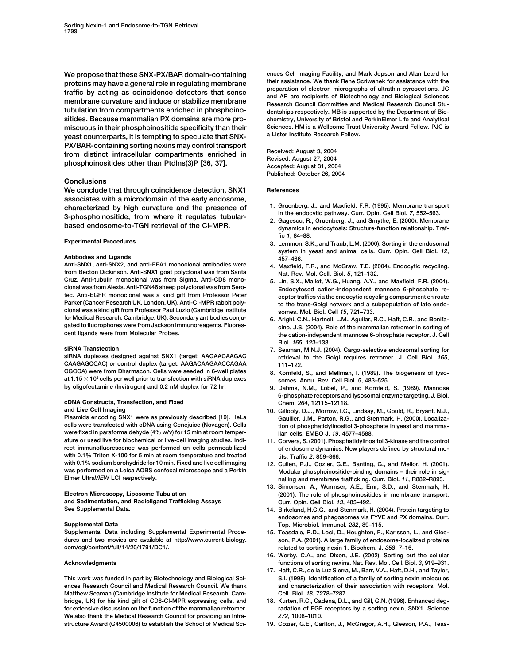proteins may have a general role in regulating membrane<br>traffic by acting as coincidence detectors that sense<br>membrane curvature and induce or stabilize membrane<br>tubulation from compartments enriched in phosphoino-<br>tubulat **sitides. Because mammalian PX domains are more pro- chemistry, University of Bristol and PerkinElmer Life and Analytical** miscuous in their phosphoinositide specificity than their Sciences. HM is a Wellcome Trust<br>Venet counterparte, it is termpting to speculate that SNY a Lister Institute Research Fellow. yeast counterparts, it is tempting to speculate that SNX-PX/BAR-containing sorting nexins may control transport<br>from distinct intracellular compartments enriched in<br>phosphoinositides other than Ptdlns(3)P [36, 37]. Accepted: August 27, 2004

## **Conclusions**

We conclude that through coincidence detection, SNX1 References **associates with a microdomain of the early endosome,** characterized by high curvature and the presence of 3-phosphoinositide, from where it regulates tubular-<br>3-phosphoinositide, from where it regulates tubular-<br>based endosome-to-TGN retrieval of the CI-MPR.<br>2. Gagescu, R., G

**from Becton Dickinson. Anti-SNX1 goat polyclonal was from Santa Nat. Rev. Mol. Cell. Biol.** *5***, 121–132. Cruz. Anti-tubulin monoclonal was from Sigma. Anti-CD8 mono- 5. Lin, S.X., Mallet, W.G., Huang, A.Y., and Maxfield, F.R. (2004). clonal was from Alexis. Anti-TGN46 sheep polyclonal was from Sero- Endocytosed cation-independent mannose 6-phosphate retec. Anti-EGFR monoclonal was a kind gift from Professor Peter ceptor traffics via the endocytic recycling compartment en route clonal was a kind gift from Professor Paul Luzio (Cambridge Institute somes. Mol. Biol. Cell** *15***, 721–733. for Medical Research, Cambridge, UK). Secondary antibodies conju- 6. Arighi, C.N., Hartnell, L.M., Aguilar, R.C., Haft, C.R., and Bonifagated to fluorophores were from Jackson Immunoreagents. Fluores- cino, J.S. (2004). Role of the mammalian retromer in sorting of**

**CAAGAGCCAC) or control duplex (target: AAGACAAGAACCAGAA 111–122. at 1.15 105 cells per well prior to transfection with siRNA duplexes somes. Annu. Rev. Cell Biol.** *5***, 483–525.**

## **cDNA Constructs, Transfection, and Fixed Chem.** *264***, 12115–12118.**

**were fixed in paraformaldehyde (4% w/v) for 15 min at room temper- lian cells. EMBO J.** *19***, 4577–4588. ature or used live for biochemical or live-cell imaging studies. Indi- 11. Corvera, S. (2001). Phosphatidylinositol 3-kinase and the control with 0.1% Triton X-100 for 5 min at room temperature and treated tifs. Traffic** *2***, 859–866. with 0.1% sodium borohydride for 10 min. Fixed and live cell imaging 12. Cullen, P.J., Cozier, G.E., Banting, G., and Mellor, H. (2001). was performed on a Leica AOBS confocal microscope and a Perkin Modular phosphoinositide-binding domains – their role in sig-**

**and Sedimentation, and Radioligand Trafficking Assays Curr. Opin. Cell Biol.** *13***, 485–492. See Supplemental Data. 14. Birkeland, H.C.G., and Stenmark, H. (2004). Protein targeting to**

**Supplemental Data including Supplemental Experimental Proce- 15. Teasdale, R.D., Loci, D., Houghton, F., Karlsson, L., and Gleedures and two movies are available at http://www.current-biology. son, P.A. (2001). A large family of endosome-localized proteins com/cgi/content/full/14/20/1791/DC1/. related to sorting nexin 1. Biochem. J.** *358***, 7–16.**

**Matthew Seaman (Cambridge Institute for Medical Research, Cam- Cell. Biol.** *18***, 7278–7287. bridge, UK) for his kind gift of CD8-CI-MPR expressing cells, and 18. Kurten, R.C., Cadena, D.L., and Gill, G.N. (1996). Enhanced degfor extensive discussion on the function of the mammalian retromer. radation of EGF receptors by a sorting nexin, SNX1. Science We also thank the Medical Research Council for providing an Infra-** *272***, 1008–1010. structure Award (G4500006) to establish the School of Medical Sci- 19. Cozier, G.E., Carlton, J., McGregor, A.H., Gleeson, P.A., Teas-**

**We propose that these SNX-PX/BAR domain-containing ences Cell Imaging Facility, and Mark Jepson and Alan Leard for** dentships respectively. MB is supported by the Department of Bio-

**Published: October 26, 2004**

- 
- **fic** *1***, 84–88.**
- **Experimental Procedures 3. Lemmon, S.K., and Traub, L.M. (2000). Sorting in the endosomal** system in yeast and animal cells. Curr. Opin. Cell Biol. 12,<br>457-466.<br>Anti-SNX1, anti-SNX2, and anti-EEA1 monoclonal antibodies were 4. Maxfield. F.R., and McGraw. T.F. (2004). Endocytic recycling.
	- 4. Maxfield, F.R., and McGraw, T.E. (2004). Endocytic recycling.
	- to the trans-Golgi network and a subpopulation of late endo-
	- the cation-independent mannose 6-phosphate receptor. J. Cell **Biol.** *165***, 123–133.**
- **siRNA Transfection 7. Seaman, M.N.J. (2004). Cargo-selective endosomal sorting for** retrieval to the Golgi requires retromer. J. Cell Biol. 165,
	- 8. Kornfeld, S., and Mellman, I. (1989). The biogenesis of lyso-
	- 9. Dahms, N.M., Lobel, P., and Kornfeld, S. (1989). Mannose **6-phosphate receptors and lysosomal enzyme targeting. J. Biol.**
- **and Live Cell Imaging 10. Gillooly, D.J., Morrow, I.C., Lindsay, M., Gould, R., Bryant, N.J., Plasmids encoding SNX1 were as previously described [19]. HeLa Gaullier, J.M., Parton, R.G., and Stenmark, H. (2000). Localiza**tion of phosphatidylinositol 3-phosphate in yeast and mamma
	- of endosome dynamics: New players defined by structural mo-
	- **Elmer Ultra***VIEW* **LCI respectively. nalling and membrane trafficking. Curr. Biol.** *11***, R882–R893.**
- **13. Simonsen, A., Wurmser, A.E., Emr, S.D., and Stenmark, H. Electron Microscopy, Liposome Tubulation (2001). The role of phosphoinositides in membrane transport.**
- **endosomes and phagosomes via FYVE and PX domains. Curr. Supplemental Data Top. Microbiol. Immunol.** *282***, 89–115.**
	-
- **16. Worby, C.A., and Dixon, J.E. (2002). Sorting out the cellular Acknowledgments functions of sorting nexins. Nat. Rev. Mol. Cell. Biol.** *3***, 919–931.**
- **17. Haft, C.R., de la Luz Sierra, M., Barr, V.A., Haft, D.H., and Taylor, This work was funded in part by Biotechnology and Biological Sci- S.I. (1998). Identification of a family of sorting nexin molecules ences Research Council and Medical Research Council. We thank and characterization of their association with receptors. Mol.**
	-
	-